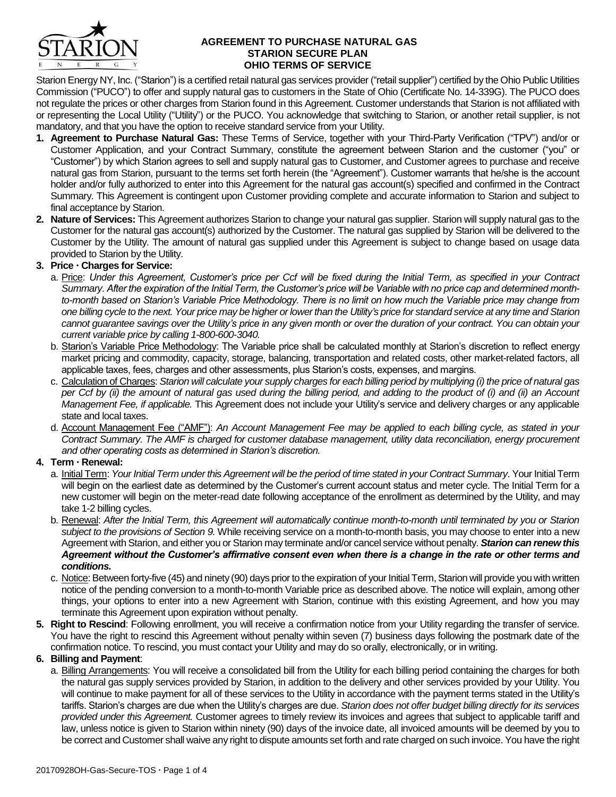

#### **AGREEMENT TO PURCHASE NATURAL GAS STARION SECURE PLAN OHIO TERMS OF SERVICE**

Starion Energy NY, Inc. ("Starion") is a certified retail natural gas services provider ("retail supplier") certified by the Ohio Public Utilities Commission ("PUCO") to offer and supply natural gas to customers in the State of Ohio (Certificate No. 14-339G). The PUCO does not regulate the prices or other charges from Starion found in this Agreement. Customer understands that Starion is not affiliated with or representing the Local Utility ("Utility") or the PUCO. You acknowledge that switching to Starion, or another retail supplier, is not mandatory, and that you have the option to receive standard service from your Utility.

- **1. Agreement to Purchase Natural Gas:** These Terms of Service, together with your Third-Party Verification ("TPV") and/or or Customer Application, and your Contract Summary, constitute the agreement between Starion and the customer ("you" or "Customer") by which Starion agrees to sell and supply natural gas to Customer, and Customer agrees to purchase and receive natural gas from Starion, pursuant to the terms set forth herein (the "Agreement"). Customer warrants that he/she is the account holder and/or fully authorized to enter into this Agreement for the natural gas account(s) specified and confirmed in the Contract Summary. This Agreement is contingent upon Customer providing complete and accurate information to Starion and subject to final acceptance by Starion.
- **2. Nature of Services:** This Agreement authorizes Starion to change your natural gas supplier. Starion will supply natural gas to the Customer for the natural gas account(s) authorized by the Customer. The natural gas supplied by Starion will be delivered to the Customer by the Utility. The amount of natural gas supplied under this Agreement is subject to change based on usage data provided to Starion by the Utility.

# **3. Price Charges for Service:**

- a. Price: *Under this Agreement, Customer's price per Ccf will be fixed during the Initial Term, as specified in your Contract Summary. After the expiration of the Initial Term, the Customer's price will be Variable with no price cap and determined monthto-month based on Starion's Variable Price Methodology. There is no limit on how much the Variable price may change from one billing cycle to the next. Your price may be higher or lower than the Utility's price for standard service at any time and Starion cannot guarantee savings over the Utility's price in any given month or over the duration of your contract. You can obtain your current variable price by calling 1-800-600-3040.*
- b. Starion's Variable Price Methodology: The Variable price shall be calculated monthly at Starion's discretion to reflect energy market pricing and commodity, capacity, storage, balancing, transportation and related costs, other market-related factors, all applicable taxes, fees, charges and other assessments, plus Starion's costs, expenses, and margins.
- c. Calculation of Charges: *Starion will calculate your supply charges for each billing period by multiplying (i) the price of natural gas per Ccf by (ii) the amount of natural gas used during the billing period, and adding to the product of (i) and (ii) an Account Management Fee, if applicable.* This Agreement does not include your Utility's service and delivery charges or any applicable state and local taxes.
- d. Account Management Fee ("AMF"): *An Account Management Fee may be applied to each billing cycle, as stated in your Contract Summary. The AMF is charged for customer database management, utility data reconciliation, energy procurement and other operating costs as determined in Starion's discretion.*

#### **4. Term Renewal:**

- a. Initial Term: *Your Initial Term under this Agreement will be the period of time stated in your Contract Summary*. Your Initial Term will begin on the earliest date as determined by the Customer's current account status and meter cycle. The Initial Term for a new customer will begin on the meter-read date following acceptance of the enrollment as determined by the Utility, and may take 1-2 billing cycles.
- b. Renewal: *After the Initial Term, this Agreement will automatically continue month-to-month until terminated by you or Starion subject to the provisions of Section 9.* While receiving service on a month-to-month basis, you may choose to enter into a new Agreement with Starion, and either you or Starion may terminate and/or cancel service without penalty. *Starion can renew this Agreement without the Customer's affirmative consent even when there is a change in the rate or other terms and conditions.*
- c. Notice: Between forty-five (45) and ninety (90) days prior to the expiration of your Initial Term, Starion will provide you with written notice of the pending conversion to a month-to-month Variable price as described above. The notice will explain, among other things, your options to enter into a new Agreement with Starion, continue with this existing Agreement, and how you may terminate this Agreement upon expiration without penalty.
- **5. Right to Rescind**: Following enrollment, you will receive a confirmation notice from your Utility regarding the transfer of service. You have the right to rescind this Agreement without penalty within seven (7) business days following the postmark date of the confirmation notice. To rescind, you must contact your Utility and may do so orally, electronically, or in writing.

#### **6. Billing and Payment**:

a. Billing Arrangements: You will receive a consolidated bill from the Utility for each billing period containing the charges for both the natural gas supply services provided by Starion, in addition to the delivery and other services provided by your Utility. You will continue to make payment for all of these services to the Utility in accordance with the payment terms stated in the Utility's tariffs. Starion's charges are due when the Utility's charges are due. *Starion does not offer budget billing directly for its services provided under this Agreement.* Customer agrees to timely review its invoices and agrees that subject to applicable tariff and law, unless notice is given to Starion within ninety (90) days of the invoice date, all invoiced amounts will be deemed by you to be correct and Customer shall waive any right to dispute amounts set forth and rate charged on such invoice. You have the right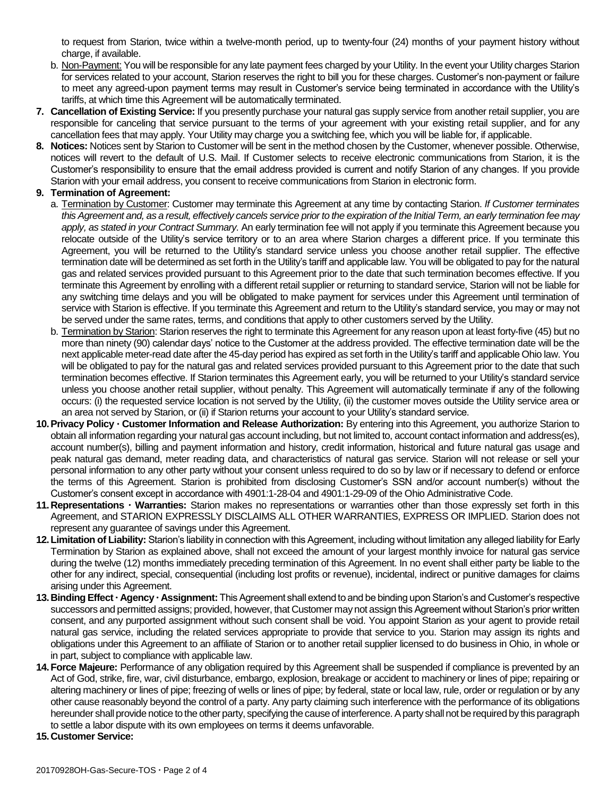to request from Starion, twice within a twelve-month period, up to twenty-four (24) months of your payment history without charge, if available.

- b. Non-Payment: You will be responsible for any late payment fees charged by your Utility. In the event your Utility charges Starion for services related to your account, Starion reserves the right to bill you for these charges. Customer's non-payment or failure to meet any agreed-upon payment terms may result in Customer's service being terminated in accordance with the Utility's tariffs, at which time this Agreement will be automatically terminated.
- **7. Cancellation of Existing Service:** If you presently purchase your natural gas supply service from another retail supplier, you are responsible for canceling that service pursuant to the terms of your agreement with your existing retail supplier, and for any cancellation fees that may apply. Your Utility may charge you a switching fee, which you will be liable for, if applicable.
- **8. Notices:** Notices sent by Starion to Customer will be sent in the method chosen by the Customer, whenever possible. Otherwise, notices will revert to the default of U.S. Mail. If Customer selects to receive electronic communications from Starion, it is the Customer's responsibility to ensure that the email address provided is current and notify Starion of any changes. If you provide Starion with your email address, you consent to receive communications from Starion in electronic form.

## **9. Termination of Agreement:**

- a. Termination by Customer: Customer may terminate this Agreement at any time by contacting Starion. *If Customer terminates this Agreement and, as a result, effectively cancels service prior to the expiration of the Initial Term, an early termination fee may apply, as stated in your Contract Summary.* An early termination fee will not apply if you terminate this Agreement because you relocate outside of the Utility's service territory or to an area where Starion charges a different price. If you terminate this Agreement, you will be returned to the Utility's standard service unless you choose another retail supplier. The effective termination date will be determined as set forth in the Utility's tariff and applicable law. You will be obligated to pay for the natural gas and related services provided pursuant to this Agreement prior to the date that such termination becomes effective. If you terminate this Agreement by enrolling with a different retail supplier or returning to standard service, Starion will not be liable for any switching time delays and you will be obligated to make payment for services under this Agreement until termination of service with Starion is effective. If you terminate this Agreement and return to the Utility's standard service, you may or may not be served under the same rates, terms, and conditions that apply to other customers served by the Utility.
- b. Termination by Starion: Starion reserves the right to terminate this Agreement for any reason upon at least forty-five (45) but no more than ninety (90) calendar days' notice to the Customer at the address provided. The effective termination date will be the next applicable meter-read date after the 45-day period has expired as set forth in the Utility's tariff and applicable Ohio law. You will be obligated to pay for the natural gas and related services provided pursuant to this Agreement prior to the date that such termination becomes effective. If Starion terminates this Agreement early, you will be returned to your Utility's standard service unless you choose another retail supplier, without penalty. This Agreement will automatically terminate if any of the following occurs: (i) the requested service location is not served by the Utility, (ii) the customer moves outside the Utility service area or an area not served by Starion, or (ii) if Starion returns your account to your Utility's standard service.
- **10.Privacy Policy Customer Information and Release Authorization:** By entering into this Agreement, you authorize Starion to obtain all information regarding your natural gas account including, but not limited to, account contact information and address(es), account number(s), billing and payment information and history, credit information, historical and future natural gas usage and peak natural gas demand, meter reading data, and characteristics of natural gas service. Starion will not release or sell your personal information to any other party without your consent unless required to do so by law or if necessary to defend or enforce the terms of this Agreement. Starion is prohibited from disclosing Customer's SSN and/or account number(s) without the Customer's consent except in accordance with 4901:1-28-04 and 4901:1-29-09 of the Ohio Administrative Code.
- 11. Representations **· Warranties:** Starion makes no representations or warranties other than those expressly set forth in this Agreement, and STARION EXPRESSLY DISCLAIMS ALL OTHER WARRANTIES, EXPRESS OR IMPLIED. Starion does not represent any guarantee of savings under this Agreement.
- **12.Limitation of Liability:** Starion's liability in connection with this Agreement, including without limitation any alleged liability for Early Termination by Starion as explained above, shall not exceed the amount of your largest monthly invoice for natural gas service during the twelve (12) months immediately preceding termination of this Agreement. In no event shall either party be liable to the other for any indirect, special, consequential (including lost profits or revenue), incidental, indirect or punitive damages for claims arising under this Agreement.
- **13.Binding Effect Agency Assignment:** This Agreement shall extend to and be binding upon Starion's and Customer's respective successors and permitted assigns; provided, however, that Customer may not assign this Agreement without Starion's prior written consent, and any purported assignment without such consent shall be void. You appoint Starion as your agent to provide retail natural gas service, including the related services appropriate to provide that service to you. Starion may assign its rights and obligations under this Agreement to an affiliate of Starion or to another retail supplier licensed to do business in Ohio, in whole or in part, subject to compliance with applicable law.
- **14.Force Majeure:** Performance of any obligation required by this Agreement shall be suspended if compliance is prevented by an Act of God, strike, fire, war, civil disturbance, embargo, explosion, breakage or accident to machinery or lines of pipe; repairing or altering machinery or lines of pipe; freezing of wells or lines of pipe; by federal, state or local law, rule, order or regulation or by any other cause reasonably beyond the control of a party. Any party claiming such interference with the performance of its obligations hereunder shall provide notice to the other party, specifying the cause of interference. A party shall not be required by this paragraph to settle a labor dispute with its own employees on terms it deems unfavorable.
- **15.Customer Service:**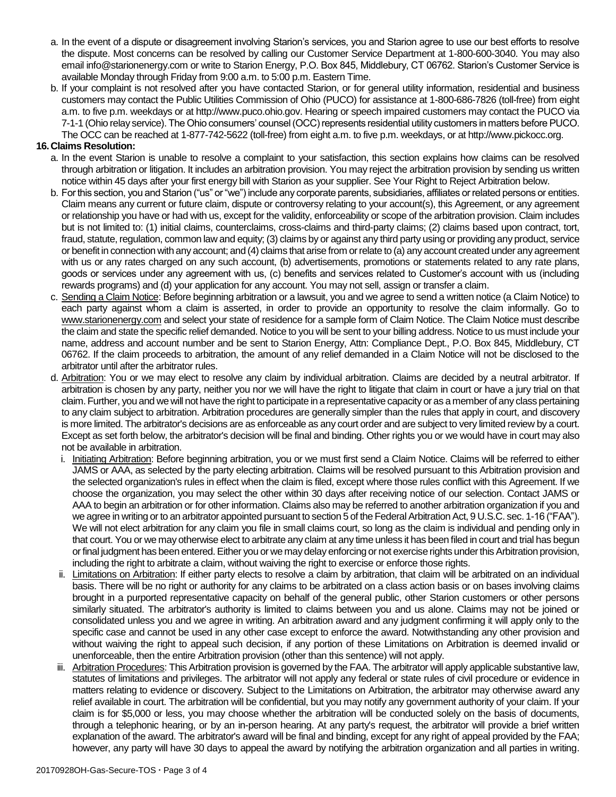- a. In the event of a dispute or disagreement involving Starion's services, you and Starion agree to use our best efforts to resolve the dispute. Most concerns can be resolved by calling our Customer Service Department at 1-800-600-3040. You may also email info@starionenergy.com or write to Starion Energy, P.O. Box 845, Middlebury, CT 06762. Starion's Customer Service is available Monday through Friday from 9:00 a.m. to 5:00 p.m. Eastern Time.
- b. If your complaint is not resolved after you have contacted Starion, or for general utility information, residential and business customers may contact the Public Utilities Commission of Ohio (PUCO) for assistance at 1-800-686-7826 (toll-free) from eight a.m. to five p.m. weekdays or at http://www.puco.ohio.gov. Hearing or speech impaired customers may contact the PUCO via 7-1-1 (Ohio relay service). The Ohio consumers' counsel (OCC) represents residential utility customers in matters before PUCO. The OCC can be reached at 1-877-742-5622 (toll-free) from eight a.m. to five p.m. weekdays, or at http://www.pickocc.org.

### **16.Claims Resolution:**

- a. In the event Starion is unable to resolve a complaint to your satisfaction, this section explains how claims can be resolved through arbitration or litigation. It includes an arbitration provision. You may reject the arbitration provision by sending us written notice within 45 days after your first energy bill with Starion as your supplier. See Your Right to Reject Arbitration below.
- b. For this section, you and Starion ("us" or "we") include any corporate parents, subsidiaries, affiliates or related persons or entities. Claim means any current or future claim, dispute or controversy relating to your account(s), this Agreement, or any agreement or relationship you have or had with us, except for the validity, enforceability or scope of the arbitration provision. Claim includes but is not limited to: (1) initial claims, counterclaims, cross-claims and third-party claims; (2) claims based upon contract, tort, fraud, statute, regulation, common law and equity; (3) claims by or against any third party using or providing any product, service or benefit in connection with any account; and (4) claims that arise from or relate to (a) any account created under any agreement with us or any rates charged on any such account, (b) advertisements, promotions or statements related to any rate plans, goods or services under any agreement with us, (c) benefits and services related to Customer's account with us (including rewards programs) and (d) your application for any account. You may not sell, assign or transfer a claim.
- c. Sending a Claim Notice: Before beginning arbitration or a lawsuit, you and we agree to send a written notice (a Claim Notice) to each party against whom a claim is asserted, in order to provide an opportunity to resolve the claim informally. Go to www.starionenergy.com and select your state of residence for a sample form of Claim Notice. The Claim Notice must describe the claim and state the specific relief demanded. Notice to you will be sent to your billing address. Notice to us must include your name, address and account number and be sent to Starion Energy, Attn: Compliance Dept., P.O. Box 845, Middlebury, CT 06762. If the claim proceeds to arbitration, the amount of any relief demanded in a Claim Notice will not be disclosed to the arbitrator until after the arbitrator rules.
- d. Arbitration: You or we may elect to resolve any claim by individual arbitration. Claims are decided by a neutral arbitrator. If arbitration is chosen by any party, neither you nor we will have the right to litigate that claim in court or have a jury trial on that claim. Further, you and we will not have the right to participate in a representative capacity or as a member of any class pertaining to any claim subject to arbitration. Arbitration procedures are generally simpler than the rules that apply in court, and discovery is more limited. The arbitrator's decisions are as enforceable as any court order and are subject to very limited review by a court. Except as set forth below, the arbitrator's decision will be final and binding. Other rights you or we would have in court may also not be available in arbitration.
	- i. Initiating Arbitration: Before beginning arbitration, you or we must first send a Claim Notice. Claims will be referred to either JAMS or AAA, as selected by the party electing arbitration. Claims will be resolved pursuant to this Arbitration provision and the selected organization's rules in effect when the claim is filed, except where those rules conflict with this Agreement. If we choose the organization, you may select the other within 30 days after receiving notice of our selection. Contact JAMS or AAA to begin an arbitration or for other information. Claims also may be referred to another arbitration organization if you and we agree in writing or to an arbitrator appointed pursuant to section 5 of the Federal Arbitration Act, 9 U.S.C. sec. 1-16 ("FAA"). We will not elect arbitration for any claim you file in small claims court, so long as the claim is individual and pending only in that court. You or we may otherwise elect to arbitrate any claim at any time unless it has been filed in court and trial has begun or final judgment has been entered. Either you or we may delay enforcing or not exercise rights under this Arbitration provision, including the right to arbitrate a claim, without waiving the right to exercise or enforce those rights.
	- ii. Limitations on Arbitration: If either party elects to resolve a claim by arbitration, that claim will be arbitrated on an individual basis. There will be no right or authority for any claims to be arbitrated on a class action basis or on bases involving claims brought in a purported representative capacity on behalf of the general public, other Starion customers or other persons similarly situated. The arbitrator's authority is limited to claims between you and us alone. Claims may not be joined or consolidated unless you and we agree in writing. An arbitration award and any judgment confirming it will apply only to the specific case and cannot be used in any other case except to enforce the award. Notwithstanding any other provision and without waiving the right to appeal such decision, if any portion of these Limitations on Arbitration is deemed invalid or unenforceable, then the entire Arbitration provision (other than this sentence) will not apply.
	- iii. Arbitration Procedures: This Arbitration provision is governed by the FAA. The arbitrator will apply applicable substantive law, statutes of limitations and privileges. The arbitrator will not apply any federal or state rules of civil procedure or evidence in matters relating to evidence or discovery. Subject to the Limitations on Arbitration, the arbitrator may otherwise award any relief available in court. The arbitration will be confidential, but you may notify any government authority of your claim. If your claim is for \$5,000 or less, you may choose whether the arbitration will be conducted solely on the basis of documents, through a telephonic hearing, or by an in-person hearing. At any party's request, the arbitrator will provide a brief written explanation of the award. The arbitrator's award will be final and binding, except for any right of appeal provided by the FAA; however, any party will have 30 days to appeal the award by notifying the arbitration organization and all parties in writing.